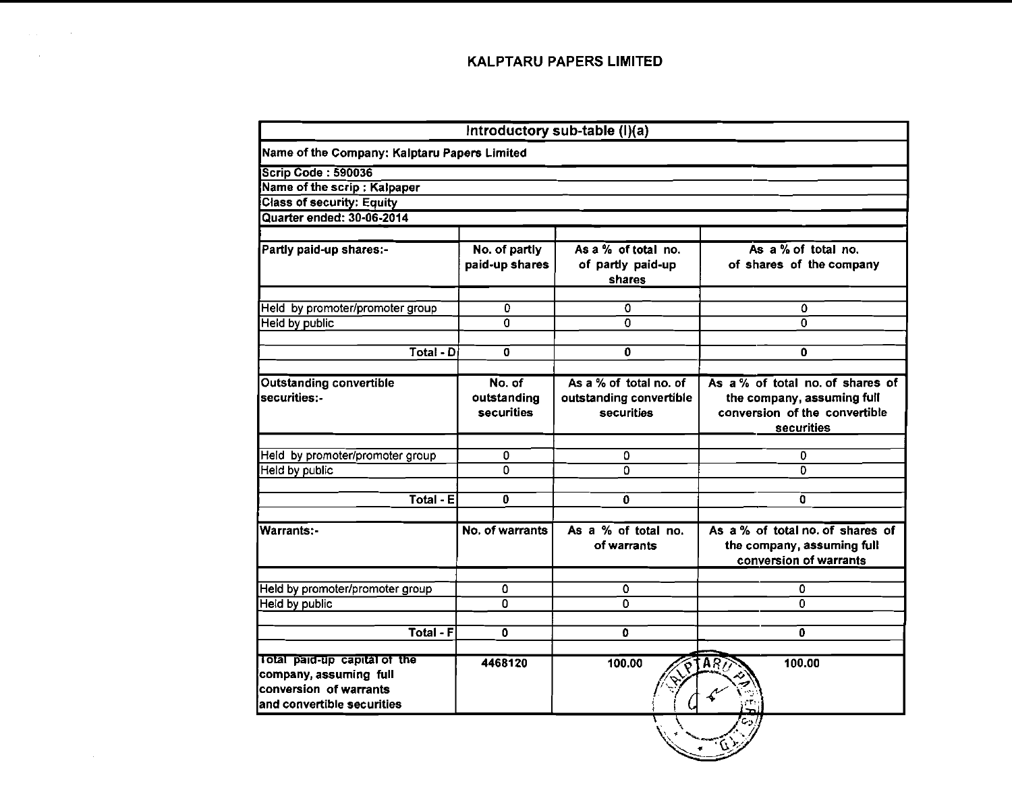$\mathcal{L}_{\text{max}}$  and  $\mathcal{L}_{\text{max}}$  . The set of  $\mathcal{L}_{\text{max}}$  $\mathcal{L}^{\text{max}}(\mathbf{X})$  and  $\mathcal{L}^{\text{max}}(\mathbf{X})$ 

 $\sim 10^{11}$  km s  $^{-1}$ 

| Name of the Company: Kalptaru Papers Limited |                                                                      |                                                                                                                 |  |  |
|----------------------------------------------|----------------------------------------------------------------------|-----------------------------------------------------------------------------------------------------------------|--|--|
|                                              |                                                                      |                                                                                                                 |  |  |
|                                              |                                                                      |                                                                                                                 |  |  |
|                                              |                                                                      |                                                                                                                 |  |  |
|                                              |                                                                      |                                                                                                                 |  |  |
|                                              |                                                                      |                                                                                                                 |  |  |
| No. of partly<br>paid-up shares              | As a % of total no.<br>of partly paid-up<br>shares                   | As $a\%$ of total no.<br>of shares of the company                                                               |  |  |
|                                              |                                                                      | 0                                                                                                               |  |  |
|                                              |                                                                      | $\Omega$                                                                                                        |  |  |
|                                              |                                                                      |                                                                                                                 |  |  |
| $\mathbf 0$                                  | 0                                                                    | 0                                                                                                               |  |  |
| No. of<br>outstanding<br>securities          | As a % of total no. of<br>outstanding convertible<br>securities      | As $a\%$ of total no. of shares of<br>the company, assuming full<br>conversion of the convertible<br>securities |  |  |
|                                              |                                                                      |                                                                                                                 |  |  |
|                                              |                                                                      | 0<br>O.                                                                                                         |  |  |
|                                              |                                                                      |                                                                                                                 |  |  |
| 0                                            | 0                                                                    | o                                                                                                               |  |  |
| No. of warrants                              | As a % of total no.<br>of warrants                                   | As a % of total no. of shares of<br>the company, assuming full<br>conversion of warrants                        |  |  |
|                                              | $\mathbf{0}$                                                         | 0                                                                                                               |  |  |
| Ō                                            | $\Omega$                                                             | $\Omega$                                                                                                        |  |  |
| o                                            | o                                                                    | 0                                                                                                               |  |  |
| 4468120                                      | 100.00                                                               | 100.00                                                                                                          |  |  |
|                                              | 0<br>0<br>Total - Di<br>0<br>$\Omega$<br>Total - E<br>0<br>Total - F | 0<br>$\mathbf{0}$<br>٥<br>0                                                                                     |  |  |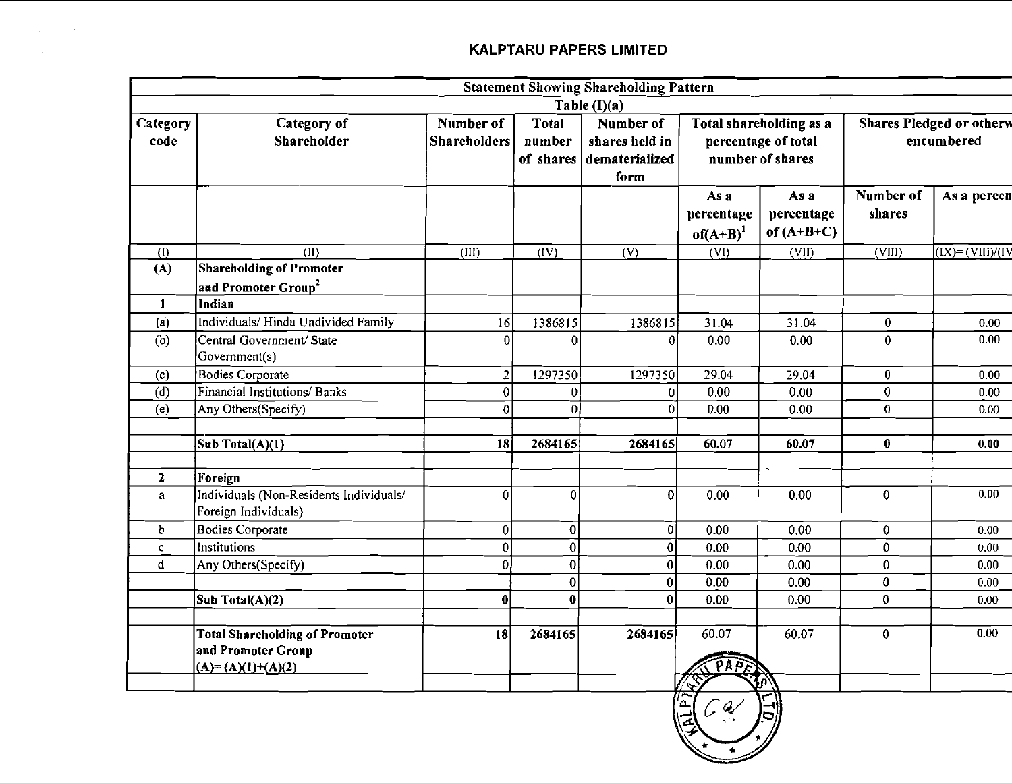**Contract Contract** 

 $\sim 100$ 

|                  |                                                                                    |                                  |                                     | <b>Statement Showing Shareholding Pattern</b>                   |                                     |                                                                    |                            |                                               |
|------------------|------------------------------------------------------------------------------------|----------------------------------|-------------------------------------|-----------------------------------------------------------------|-------------------------------------|--------------------------------------------------------------------|----------------------------|-----------------------------------------------|
| Category<br>code | Category of<br>Shareholder                                                         | Number of<br><b>Shareholders</b> | <b>Total</b><br>number<br>of shares | Table $(I)(a)$<br>Number of<br>shares held in<br>dematerialized |                                     | Total shareholding as a<br>percentage of total<br>number of shares |                            | <b>Shares Pledged or otherw</b><br>encumbered |
|                  |                                                                                    |                                  |                                     | form                                                            | As a<br>percentage<br>$of(A+B)^{1}$ | As a<br>percentage<br>of $(A+B+C)$                                 | Number of<br>shares        | As a percen                                   |
| (1)              | (II)                                                                               | (III)                            | (IV)                                | (V)                                                             | (VI)                                | (VII)                                                              | $\overline{\text{(VIII)}}$ | $(IX)=(VIII)/(IV)$                            |
| (A)              | Shareholding of Promoter                                                           |                                  |                                     |                                                                 |                                     |                                                                    |                            |                                               |
|                  | and Promoter Group <sup>2</sup>                                                    |                                  |                                     |                                                                 |                                     |                                                                    |                            |                                               |
| $\mathbf{1}$     | Indian                                                                             |                                  |                                     |                                                                 |                                     |                                                                    |                            |                                               |
| (a)              | Individuals/Hindu Undivided Family                                                 | 16                               | 1386815                             | 1386815                                                         | 31.04                               | 31.04                                                              | $\bf{0}$                   | 0.00                                          |
| (b)              | Central Government/ State<br>Government(s)                                         | 0                                | O                                   | 0                                                               | 0.00                                | 0.00                                                               | $\bf{0}$                   | 0.00                                          |
| (c)              | Bodies Corporate                                                                   | $\overline{2}$                   | 1297350                             | 1297350                                                         | 29.04                               | 29.04                                                              | 0                          | 0.00                                          |
| (d)              | Financial Institutions/ Banks                                                      | $\bf{0}$                         | $\mathbf{0}$                        | 0                                                               | 0.00                                | 0.00                                                               | 0                          | 0.00                                          |
| (e)              | Any Others(Specify)                                                                | 0                                | $\mathbf{0}$                        | $\mathbf 0$                                                     | 0.00                                | 0.00                                                               | $\bf{0}$                   | 0.00                                          |
|                  | Sub Total(A)(1)                                                                    | 18                               | 2684165                             | 2684165                                                         | 60.07                               | 60.07                                                              | $\bf{0}$                   | 0.00                                          |
| $\mathbf{2}$     | Foreign                                                                            |                                  |                                     |                                                                 |                                     |                                                                    |                            |                                               |
| $\mathbf{a}$     | Individuals (Non-Residents Individuals/<br>Foreign Individuals)                    | 0                                | $\vert 0 \vert$                     | $\boldsymbol{0}$                                                | 0.00                                | 0.00                                                               | $\bf{0}$                   | 0.00                                          |
| $\mathbf b$      | <b>Bodies Corporate</b>                                                            | 0                                | 0                                   | 0                                                               | 0.00                                | 0.00                                                               | $\bf{0}$                   | 0.00                                          |
| $\mathbf{C}$     | Institutions                                                                       | $\vert 0 \vert$                  | $\mathfrak{0}$                      | 0                                                               | 0.00                                | 0.00                                                               | $\pmb{0}$                  | 0.00                                          |
| $\mathbf d$      | Any Others(Specify)                                                                | 0                                | 0                                   | 0                                                               | 0.00                                | 0.00                                                               | $\pmb{0}$                  | 0.00                                          |
|                  |                                                                                    |                                  | $\mathbf{0}$                        | 0                                                               | 0.00                                | 0.00 <sub>1</sub>                                                  | $\bf{0}$                   | 0.00                                          |
|                  | $\overline{\text{Sub Total}(A)(2)}$                                                | $\bf{0}$                         | 0                                   | $\bf{0}$                                                        | 0.00                                | 0.00                                                               | $\bf{0}$                   | 0.00                                          |
|                  | <b>Total Shareholding of Promoter</b><br>and Promoter Group<br>$(A)=(A)(1)+(A)(2)$ | 18                               | 2684165                             | 2684165                                                         | 60.07<br>PAPER                      | 60.07                                                              | $\bf{0}$                   | 0.00 <sub>1</sub>                             |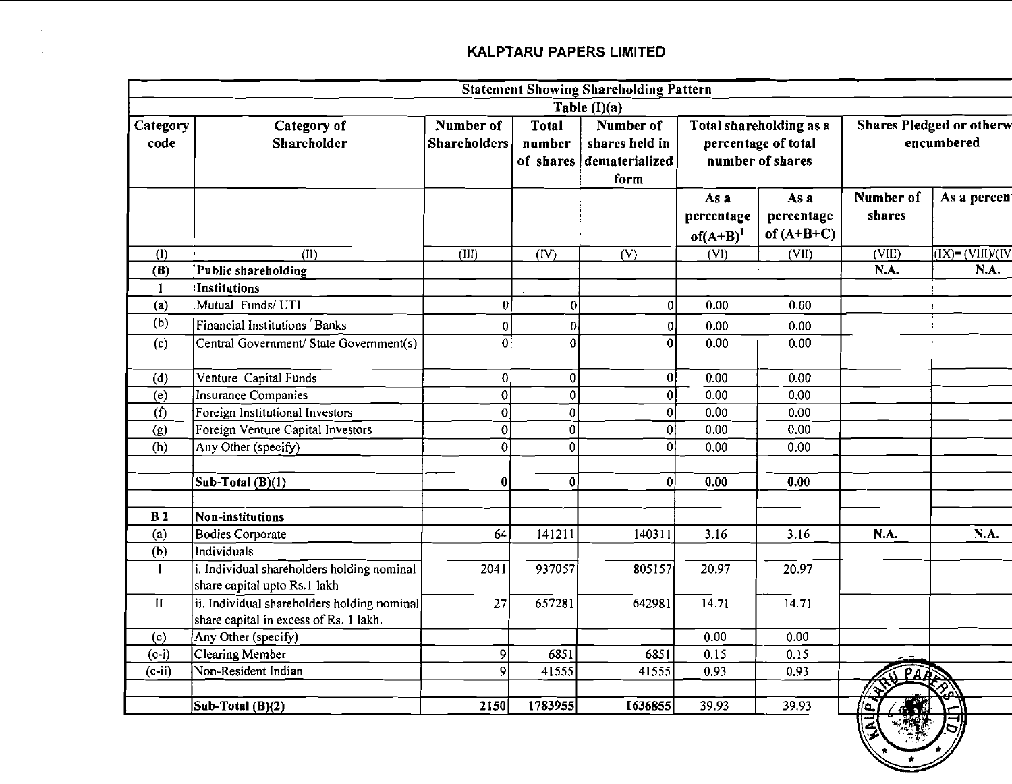$\sim 100$  km s  $^{-1}$ 

 $\mathcal{L}_{\text{max}}$  and  $\mathcal{L}_{\text{max}}$ 

|                  |                                                                                       |                                  |                        | <b>Statement Showing Shareholding Pattern</b>                   |                                   |                                                                                                                     |                     |                                                                              |
|------------------|---------------------------------------------------------------------------------------|----------------------------------|------------------------|-----------------------------------------------------------------|-----------------------------------|---------------------------------------------------------------------------------------------------------------------|---------------------|------------------------------------------------------------------------------|
|                  |                                                                                       |                                  |                        | Table (I)(a)                                                    |                                   |                                                                                                                     |                     |                                                                              |
| Category<br>code | Category of<br>Shareholder                                                            | Number of<br><b>Shareholders</b> | <b>Total</b><br>number | Number of<br>shares held in<br>of shares dematerialized<br>form |                                   | <b>Shares Pledged or otherw</b><br>Total shareholding as a<br>encumbered<br>percentage of total<br>number of shares |                     |                                                                              |
|                  |                                                                                       |                                  |                        |                                                                 | As a<br>percentage<br>$of(A+B)^1$ | As a<br>percentage<br>of $(A+B+C)$                                                                                  | Number of<br>shares | As a percent                                                                 |
| (1)              | (II)                                                                                  | (III)                            | (IV)                   | (V)                                                             | (VI)                              | (VII)                                                                                                               | (VIII)              | $\overline{(\text{IX})}$ = $(\overline{\text{VIII}})/(\overline{\text{IV}})$ |
| (B)              | Public shareholding                                                                   |                                  |                        |                                                                 |                                   |                                                                                                                     | N.A.                | N.A.                                                                         |
| $\mathbf{1}$     | Institutions                                                                          |                                  |                        |                                                                 |                                   |                                                                                                                     |                     |                                                                              |
| (a)              | Mutual Funds/ UTI                                                                     | 01                               | $\bf{0}$               | $\overline{0}$                                                  | 0.00                              | 0.00                                                                                                                |                     |                                                                              |
| (b)              | Financial Institutions Banks                                                          | 0                                | $\mathbf{0}$           | 01                                                              | 0.00                              | 0.00                                                                                                                |                     |                                                                              |
| (c)              | Central Government/ State Government(s)                                               | $\theta$                         | 0                      | Ωl                                                              | 0.00                              | 0.00                                                                                                                |                     |                                                                              |
| (d)              | Venture Capital Funds                                                                 | 0                                | $\overline{0}$         | 0                                                               | 0.00                              | 0.00                                                                                                                |                     |                                                                              |
| (e)              | Insurance Companies                                                                   | 0                                | $\mathbf{0}$           | 0                                                               | 0.00                              | 0.00                                                                                                                |                     |                                                                              |
| (f)              | Foreign Institutional Investors                                                       | 0                                | 0                      | 0                                                               | 0.00                              | 0.00                                                                                                                |                     |                                                                              |
| (g)              | Foreign Venture Capital Investors                                                     | 0                                | 0                      | 0                                                               | 0.00                              | 0.00                                                                                                                |                     |                                                                              |
| (h)              | Any Other (specify)                                                                   | $\bf{0}$                         | 0                      | $\bf{0}$                                                        | 0.00                              | 0.00                                                                                                                |                     |                                                                              |
|                  |                                                                                       |                                  |                        |                                                                 |                                   |                                                                                                                     |                     |                                                                              |
|                  | $\int$ Sub-Total (B)(1)                                                               | $\bf{0}$                         | 0                      | 0                                                               | 0.00                              | 0.00                                                                                                                |                     |                                                                              |
| B <sub>2</sub>   | Non-institutions                                                                      |                                  |                        |                                                                 |                                   |                                                                                                                     |                     |                                                                              |
| (a)              | <b>Bodies Corporate</b>                                                               | 64                               | 141211                 | 140311                                                          | 3.16                              | 3.16                                                                                                                | N.A.                | <b>N.A.</b>                                                                  |
| (b)              | Individuals                                                                           |                                  |                        |                                                                 |                                   |                                                                                                                     |                     |                                                                              |
| $\bf{I}$         | i. Individual shareholders holding nominal<br>share capital upto Rs.1 lakh            | 2041                             | 937057                 | 805157                                                          | 20.97                             | 20.97                                                                                                               |                     |                                                                              |
| $\mathbf{H}$     | ii. Individual shareholders holding nominal<br>share capital in excess of Rs. 1 lakh. | 27                               | 657281                 | 642981                                                          | 14.71                             | 14.71                                                                                                               |                     |                                                                              |
| (c)              | Any Other (specify)                                                                   |                                  |                        |                                                                 | 0.00 <sub>1</sub>                 | 0.00                                                                                                                |                     |                                                                              |
| $(c-i)$          | Clearing Member                                                                       | 9                                | 6851                   | 6851                                                            | 0.15                              | 0.15                                                                                                                |                     |                                                                              |
| $(c-ii)$         | Non-Resident Indian                                                                   | 9                                | 41555                  | 41555                                                           | 0.93                              | 0.93                                                                                                                | PARS                |                                                                              |
|                  |                                                                                       |                                  |                        |                                                                 |                                   |                                                                                                                     | $\mathbb{A}^n$      |                                                                              |
|                  | Sub-Total (B)(2)                                                                      | 2150                             | 1783955                | 1636855                                                         | 39.93                             | 39.93                                                                                                               | $\sqrt{2}$<br>7.4   | سم                                                                           |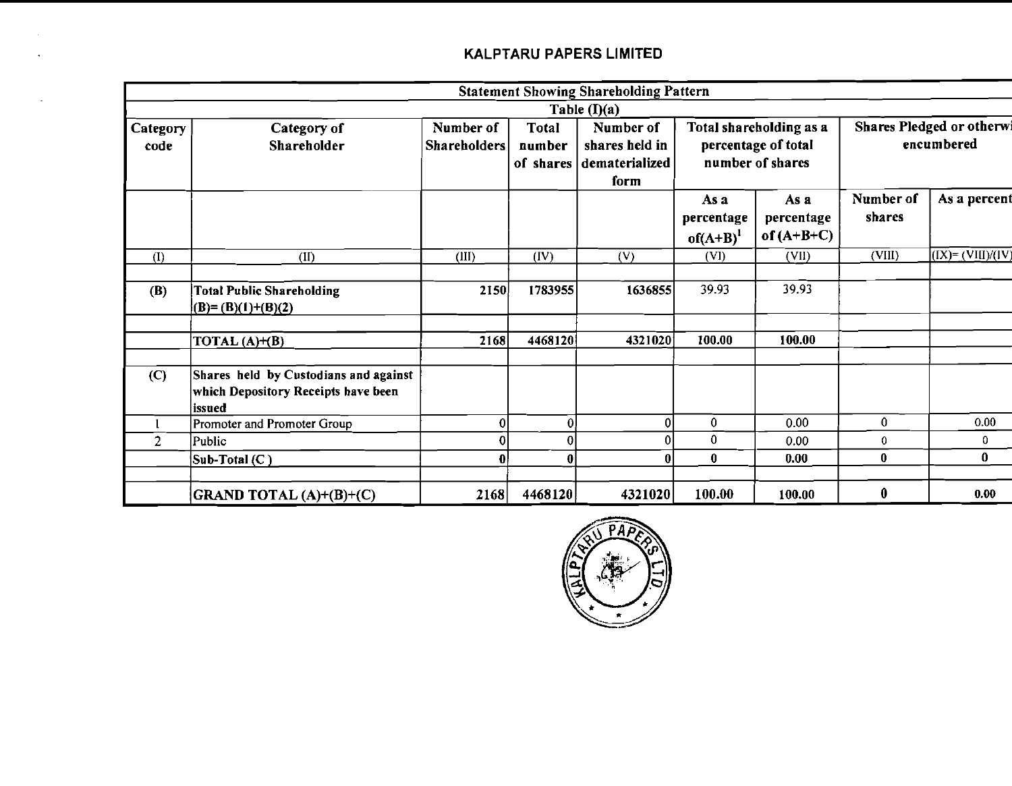$\sim$ 

|                  |                                                                                        |                                  |                        | <b>Statement Showing Shareholding Pattern</b>                   |                                     |                                                                    |                                         |                      |  |
|------------------|----------------------------------------------------------------------------------------|----------------------------------|------------------------|-----------------------------------------------------------------|-------------------------------------|--------------------------------------------------------------------|-----------------------------------------|----------------------|--|
|                  |                                                                                        |                                  |                        | Table $(I)(a)$                                                  |                                     |                                                                    |                                         |                      |  |
| Category<br>code | Category of<br>Shareholder                                                             | Number of<br><b>Shareholders</b> | <b>Total</b><br>number | Number of<br>shares held in<br>of shares dematerialized<br>form |                                     | Total shareholding as a<br>percentage of total<br>number of shares | Shares Pledged or otherwi<br>encumbered |                      |  |
|                  |                                                                                        |                                  |                        |                                                                 | As a<br>percentage<br>$of(A+B)^{1}$ | As a<br>percentage<br>of $(A+B+C)$                                 | Number of<br>shares                     | As a percent         |  |
| (1)              | (II)                                                                                   | (III)                            | (IV)                   | (V)                                                             | (VI)                                | (VII)                                                              | (VIII)                                  | $(IX) = (VIII)/(IV)$ |  |
| <b>(B)</b>       | <b>Total Public Shareholding</b><br>$(B)=(B)(1)+(B)(2)$                                | 2150                             | 1783955                | 1636855                                                         | 39.93                               | 39.93                                                              |                                         |                      |  |
|                  | TOTAL $(A)+(B)$                                                                        | 2168                             | 4468120                | 4321020                                                         | 100.00                              | 100.00                                                             |                                         |                      |  |
| (C)              | Shares held by Custodians and against<br>which Depository Receipts have been<br>issued |                                  |                        |                                                                 |                                     |                                                                    |                                         |                      |  |
|                  | Promoter and Promoter Group                                                            | ΩI                               | $\Omega$               |                                                                 | 0                                   | 0.00                                                               | 0                                       | 0.00                 |  |
| $\overline{2}$   | Public                                                                                 |                                  | 0                      |                                                                 | $\bf{0}$                            | 0.00                                                               | 0                                       | 0                    |  |
|                  | Sub-Total $(C)$                                                                        |                                  | 0                      |                                                                 | $\bf{0}$                            | 0.00                                                               | $\bf{0}$                                | $\bf{0}$             |  |
|                  | GRAND TOTAL (A)+(B)+(C)                                                                | 2168                             | 4468120                | 4321020                                                         | 100.00                              | 100.00                                                             | $\boldsymbol{0}$                        | 0.00                 |  |

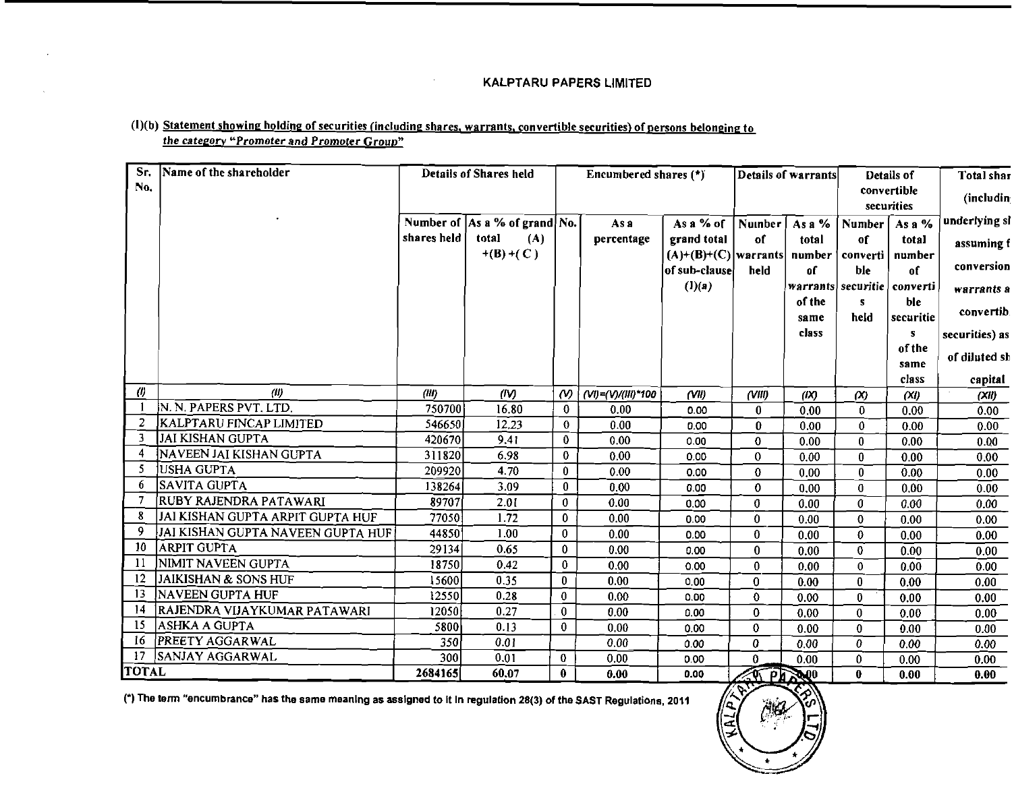## (1)(b) Statement showing holding of securities (including shares, warrants, convertible securities) of persons belonging to the category "Promoter and Promoter Group"

| Sr.                 | Name of the shareholder           |                  | <b>Details of Shares held</b>              |                          | Encumbered shares (*) |                                       |                          | Details of warrants | Details of           | Total shar   |                |
|---------------------|-----------------------------------|------------------|--------------------------------------------|--------------------------|-----------------------|---------------------------------------|--------------------------|---------------------|----------------------|--------------|----------------|
| No.                 |                                   |                  |                                            |                          |                       |                                       |                          |                     |                      | convertible  | (includin)     |
|                     |                                   |                  |                                            |                          |                       |                                       |                          |                     |                      | securities   | underlying si  |
|                     |                                   | shares held      | Number of $ As a \% of grand No.$<br>total |                          | As a                  | As a $%$ of                           | Number                   | As a $%$            | <b>Number</b>        | As a $%$     |                |
|                     |                                   |                  | (A)<br>$+(B)+(C)$                          |                          | percentage            | grand total<br>$(A)+(B)+(C)$ warrants | of                       | total               | of                   | total        | assuming f     |
|                     |                                   |                  |                                            |                          |                       | of sub-clause                         | held                     | number<br>οſ        | converti<br>ble      | number<br>of | conversion     |
|                     |                                   |                  |                                            |                          |                       | (l)(a)                                |                          |                     | warrants securitie   | converti     | warrants a     |
|                     |                                   |                  |                                            |                          |                       |                                       |                          | of the              | s                    | ble          |                |
|                     |                                   |                  |                                            |                          |                       |                                       |                          | same                | held                 | securitie    | convertib.     |
|                     |                                   |                  |                                            |                          |                       |                                       |                          | class               |                      | $\mathbf{s}$ | securities) as |
|                     |                                   |                  |                                            |                          |                       |                                       |                          |                     |                      | of the       | of diluted sh  |
|                     |                                   |                  |                                            |                          |                       |                                       |                          |                     |                      | same         |                |
|                     |                                   |                  |                                            |                          |                       |                                       |                          |                     |                      | class        | capital        |
| $\langle l \rangle$ | (11)<br>N. N. PAPERS PVT. LTD.    | (III)            | (IV)                                       | $\omega$                 | (VI)=(V)/(III)*100    | (VII)                                 | (VIII)                   | (X)                 | $\infty$             | (XI)         | (XII)          |
| 2                   | <b>KALPTARU FINCAP LIMITED</b>    | 750700           | 16.80                                      | $\bf{0}$                 | 0.00                  | 0.00                                  | $\mathbf{0}$             | 0.00                | 0                    | 0.00         | 0.00           |
| 3                   | <b>JAI KISHAN GUPTA</b>           | 546650<br>420670 | 12.23<br>9.41                              | $\bf{0}$<br>$\mathbf{0}$ | 0.00                  | 0.00                                  | $\mathbf{0}$             | 0.00                | $\bf{0}$             | 0.00         | 0.00           |
|                     | NAVEEN JAI KISHAN GUPTA           | 311820           | 6.98                                       | $\Omega$                 | 0.00<br>0.00          | 0.00                                  | $\mathbf 0$              | 0.00                | $\bf{0}$             | 0.00         | 0.00           |
| -5                  | JUSHA GUPTA                       | 209920           | 4.70                                       | $\bf{0}$                 | 0.00                  | 0.00                                  | $\mathbf{0}$             | 0.00                | $\bf{0}$             | 0.00         | 0.00           |
| 6                   | SAVITA GUPTA                      | 138264           | 3.09                                       | $\bf{0}$                 | 0.00                  | 0.00<br>0.00                          | $\bf{0}$<br>$\mathbf{0}$ | 0.00                | $\bf{0}$<br>$\bf{0}$ | 0.00         | 0.00           |
|                     | RUBY RAJENDRA PATAWARI            | 89707            | 2.01                                       | $\bf{0}$                 | 0.00                  | 0.00                                  | $\mathbf 0$              | 0.00<br>0.00        | 0                    | 0.00<br>0.00 | 0.00<br>0.00   |
| 8                   | JAI KISHAN GUPTA ARPIT GUPTA HUF  | 77050            | 1.72                                       | $\mathbf{0}$             | 0.00                  | 0.00                                  | $\mathbf 0$              | 0.00                | 0                    | 0.00         | 0.00           |
| 9                   | JAI KISHAN GUPTA NAVEEN GUPTA HUF | 44850            | 1.00                                       | $\bf{0}$                 | 0.00                  | 0.00                                  | $\bf{0}$                 | 0.00                | $\bf{0}$             | 0.00         | 0.00           |
| 10                  | ARPIT GUPTA                       | 29134            | 0.65                                       | $\mathbf{0}$             | 0.00                  | 0.00                                  | $\bf{0}$                 | 0.00                | 0                    | 0.00         | 0.00           |
| -11                 | NIMIT NAVEEN GUPTA                | 18750            | 0.42                                       | $\bf{0}$                 | 0.00                  | 0.00                                  | $\bf{0}$                 | 0.00                | $\bf{0}$             | 0.00         | 0.00           |
| 12                  | JAIKISHAN & SONS HUF              | 15600            | 0.35                                       | $\bf{0}$                 | 0.00                  | 0.00                                  | $\bf{0}$                 | 0.00                | $\mathbf{0}$         | 0.00         | 0.00           |
| -13                 | <b>NAVEEN GUPTA HUF</b>           | 12550            | 0.28                                       | 0                        | 0.00                  | 0.00                                  | $\Omega$                 | 0.00                | 0                    | 0.00         | 0.00           |
| 14                  | RAJENDRA VIJAYKUMAR PATAWARI      | 12050            | 0.27                                       | $\bf{0}$                 | 0.00                  | 0.00                                  | $\mathbf{0}$             | 0.00                | 0                    | 0.00         | 0.00           |
| -15                 | <b>ASHKA A GUPTA</b>              | 5800             | 0.13                                       | 0                        | 0.00                  | 0.00                                  | $\mathbf{0}$             | 0.00                | 0                    | 0.00         | 0.00           |
| 16                  | PREETY AGGARWAL                   | 350              | 0.01                                       |                          | 0.00                  | 0.00                                  | 0                        | 0.00                | 0                    | 0.00         | 0.00           |
| -17                 | SANJAY AGGARWAL                   | 300              | 0.01                                       | 0                        | 0.00                  | 0.00                                  | 0                        | 0.00                | 0                    | 0.00         | 0.00           |
| <b>TOTAL</b>        |                                   | 2684165          | 60.07                                      | $\mathbf{0}$             | 0.00                  | 0.00                                  | <b>AT PARMO</b>          |                     | 0                    | 0.00         | 0.00           |

(\*) The term "encumbrance" has the same meaning as assigned to it in regulation 28(3) of the SAST Regulations, 2011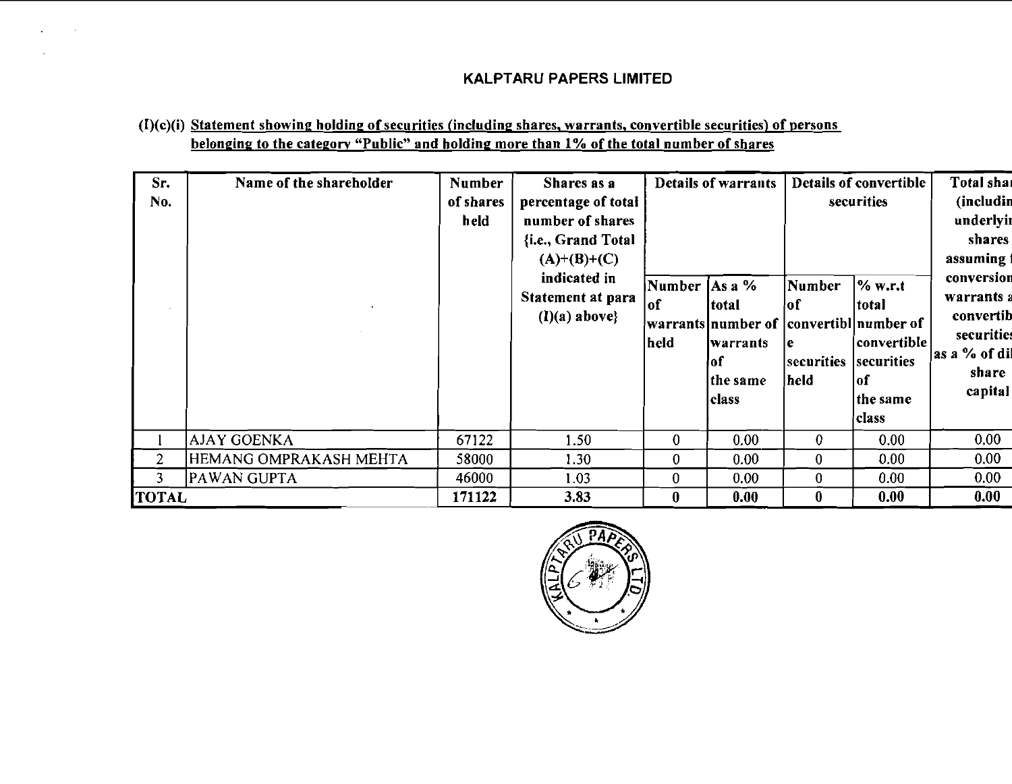## $(I)(c)(i)$  Statement showing holding of securities (including shares, warrants, convertible securities) of persons belonging to the category "Public" and holding more than 1% of the total number of shares

| Sr.<br>No.     | Name of the shareholder | <b>Number</b><br>of shares<br>held | Shares as a<br>percentage of total<br>number of shares<br>{i.e., Grand Total<br>$(A)+(B)+(C)$<br>indicated in<br>Statement at para<br>$(I)(a)$ above} | Number $\operatorname{As} a \%$<br> of<br>held | Details of warrants<br>total<br> warrants number of  convertibl number of<br>lwarrants<br>lof<br>the same<br>class | Number<br>∤of<br>l e<br>securities<br>held | Details of convertible<br>securities<br>$\%$ w.r.t<br>total<br>convertible<br>securities<br> of<br>the same<br>class | Total shar<br>(includin<br>underlyir<br>shares<br>assuming:<br>conversion<br>warrants a<br>convertib<br>securities<br> as a % of dil<br>share<br>capital |
|----------------|-------------------------|------------------------------------|-------------------------------------------------------------------------------------------------------------------------------------------------------|------------------------------------------------|--------------------------------------------------------------------------------------------------------------------|--------------------------------------------|----------------------------------------------------------------------------------------------------------------------|----------------------------------------------------------------------------------------------------------------------------------------------------------|
|                | <b>AJAY GOENKA</b>      | 67122                              | 1.50                                                                                                                                                  | $\mathbf{0}$                                   | 0.00                                                                                                               | $\bf{0}$                                   | 0.00                                                                                                                 | 0.00                                                                                                                                                     |
| $\overline{2}$ | HEMANG OMPRAKASH MEHTA  | 58000                              | 1.30                                                                                                                                                  | $\bf{0}$                                       | 0.00                                                                                                               | 0                                          | 0.00                                                                                                                 | 0.00                                                                                                                                                     |
| 3              | PAWAN GUPTA             | 46000                              | 1.03                                                                                                                                                  | $\bf{0}$                                       | 0.00                                                                                                               | 0                                          | 0.00                                                                                                                 | 0.00                                                                                                                                                     |
| <b>TOTAL</b>   |                         | 171122                             | 3.83                                                                                                                                                  | $\bf{0}$                                       | 0.00                                                                                                               | $\bf{0}$                                   | 0.00                                                                                                                 | 0.00                                                                                                                                                     |

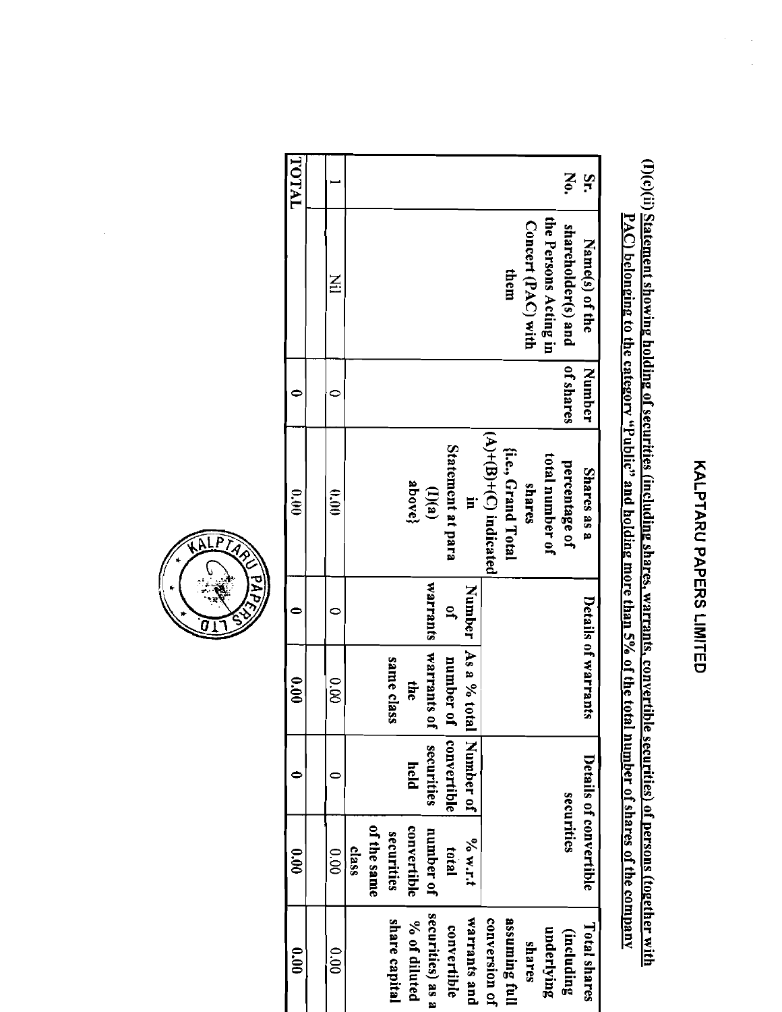# **KALPIAKC PAPERS LIMILED**

# (I)(c)(ii) Statement showing holding of securities (including shares, warrants, convertible securities) of persons (together with PAC) belonging to the category "Public" and holding more than 5% of the total number of shares of the company

| <b>TOTAL</b>  |                |       |             |                  |              |                  |                   |                        |                         |                    |                    |                       | Nộ.                | Šr.                    |
|---------------|----------------|-------|-------------|------------------|--------------|------------------|-------------------|------------------------|-------------------------|--------------------|--------------------|-----------------------|--------------------|------------------------|
|               | $\Xi$          |       |             |                  |              |                  |                   |                        |                         | them               | Concert (PAC) with | the Persons Acting in | shareholder(s) and | Name(s) of the         |
|               |                |       |             |                  |              |                  |                   |                        |                         |                    |                    |                       | of shares          | Number                 |
| $\frac{1}{2}$ | 600            |       |             |                  | above}       | (I)(a)           | Statement at para | Ē                      | $(A)+(B)+(C)$ indicated | {i.e., Grand Total | shares             | total number of       | percentage of      | Shares as a            |
|               |                |       |             |                  |              | warrants         | $\tilde{=}$       | Number                 |                         |                    |                    |                       |                    |                        |
| 000           | 0.00           |       |             | same class<br>Ø, | the          | warrants         | number of         | As a % total Number of |                         |                    |                    |                       |                    | Details of warrants    |
|               |                |       |             |                  | held         | securities       | convertible       |                        |                         |                    |                    |                       |                    |                        |
| 0.01          | $\frac{1}{20}$ | class | of the same | securities       | convertible  | number of        | total             | $9/9$ N.I.I            |                         |                    |                    |                       | securities         | Details of convertible |
| 00.00         | 0.00           |       |             | share capital    | % of diluted | securities) as a | convertible       | Warrants and           | conversion of           | assuming full      | shares             | underlying            | (including)        | Total shares           |

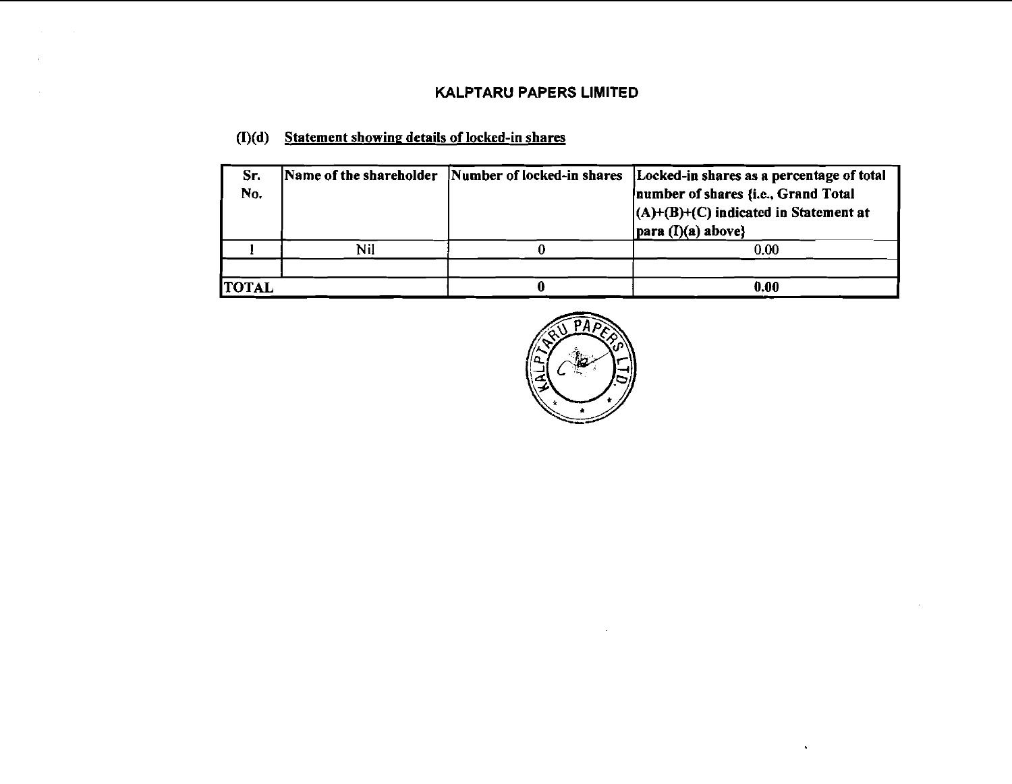## **(I)(d) Statement showine details of locked-in shares**

| Sr.<br>No. |     | Name of the shareholder Number of locked-in shares [Locked-in shares as a percentage of total]<br>number of shares {i.e., Grand Total<br>$(A)+(B)+(C)$ indicated in Statement at<br>$ para (I)(a) above\}$ |
|------------|-----|------------------------------------------------------------------------------------------------------------------------------------------------------------------------------------------------------------|
|            | Nil | 0.00                                                                                                                                                                                                       |
|            |     |                                                                                                                                                                                                            |
| TOTAL      |     | 0.00                                                                                                                                                                                                       |



 $\bullet$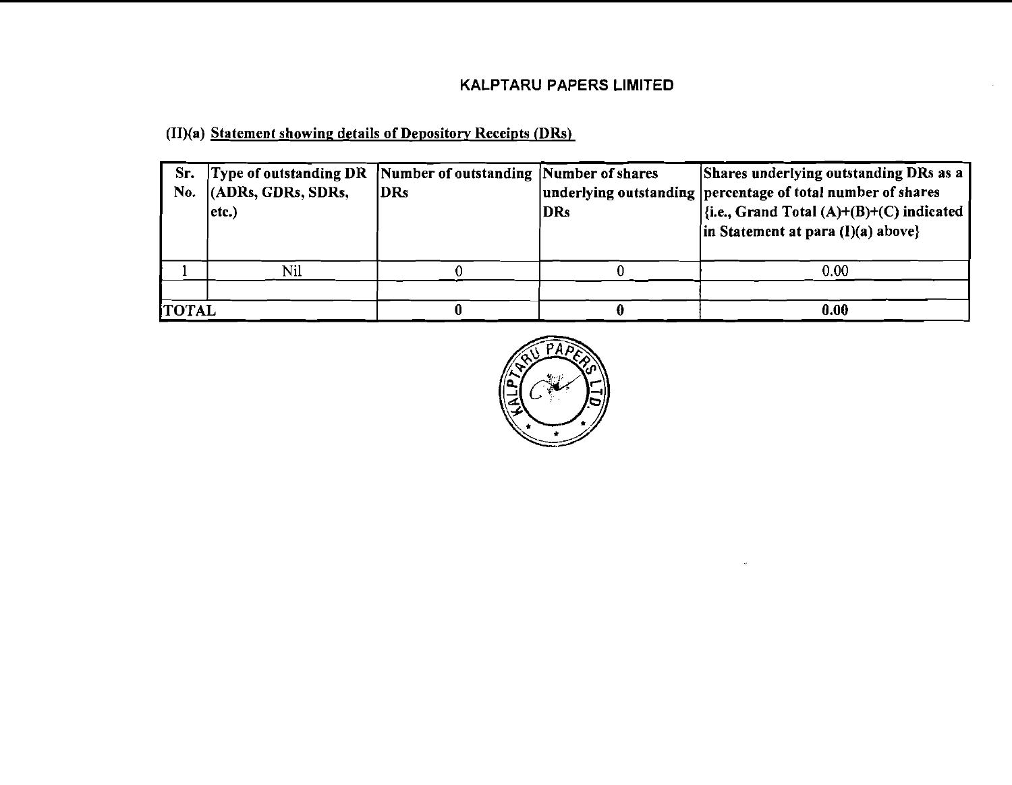(II)(a) Statement showing details of Depository Receipts (DRs)

| Sr.<br>No.   | Type of outstanding DR Number of outstanding Number of shares<br>$ $ (ADRs, GDRs, SDRs,<br>$ $ etc. $)$ | <b>DRs</b> | <b>DRs</b> | Shares underlying outstanding DRs as a<br>underlying outstanding percentage of total number of shares<br>$\left \{\text{i.e., Grand Total (A)+(B)+(C) indicate}\right \right $<br>$\{in Statement at para (I)(a) above\}$ |
|--------------|---------------------------------------------------------------------------------------------------------|------------|------------|---------------------------------------------------------------------------------------------------------------------------------------------------------------------------------------------------------------------------|
|              | Nil                                                                                                     |            |            | 0.00                                                                                                                                                                                                                      |
| <b>TOTAL</b> |                                                                                                         |            |            | 0.00                                                                                                                                                                                                                      |